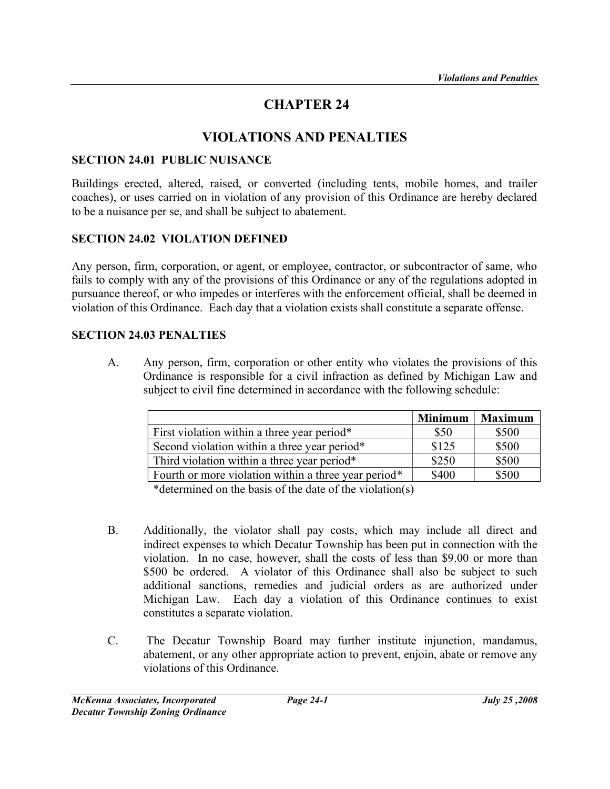# CHAPTER 24

# VIOLATIONS AND PENALTIES

#### SECTION 24.01 PUBLIC NUISANCE

Buildings erected, altered, raised, or converted (including tents, mobile homes, and trailer coaches), or uses carried on in violation of any provision of this Ordinance are hereby declared to be a nuisance per se, and shall be subject to abatement.

### SECTION 24.02 VIOLATION DEFINED

Any person, firm, corporation, or agent, or employee, contractor, or subcontractor of same, who fails to comply with any of the provisions of this Ordinance or any of the regulations adopted in pursuance thereof, or who impedes or interferes with the enforcement official, shall be deemed in violation of this Ordinance. Each day that a violation exists shall constitute a separate offense.

#### SECTION 24.03 PENALTIES

A. Any person, firm, corporation or other entity who violates the provisions of this Ordinance is responsible for a civil infraction as defined by Michigan Law and subject to civil fine determined in accordance with the following schedule:

|                                                      | <b>Minimum</b> | <b>Maximum</b> |
|------------------------------------------------------|----------------|----------------|
| First violation within a three year period*          | \$50           | \$500          |
| Second violation within a three year period*         | \$125          | \$500          |
| Third violation within a three year period*          | \$250          | \$500          |
| Fourth or more violation within a three year period* | \$400          | \$500          |

\*determined on the basis of the date of the violation(s)

- B. Additionally, the violator shall pay costs, which may include all direct and indirect expenses to which Decatur Township has been put in connection with the violation. In no case, however, shall the costs of less than \$9.00 or more than \$500 be ordered. A violator of this Ordinance shall also be subject to such additional sanctions, remedies and judicial orders as are authorized under Michigan Law. Each day a violation of this Ordinance continues to exist constitutes a separate violation.
- C. The Decatur Township Board may further institute injunction, mandamus, abatement, or any other appropriate action to prevent, enjoin, abate or remove any violations of this Ordinance.